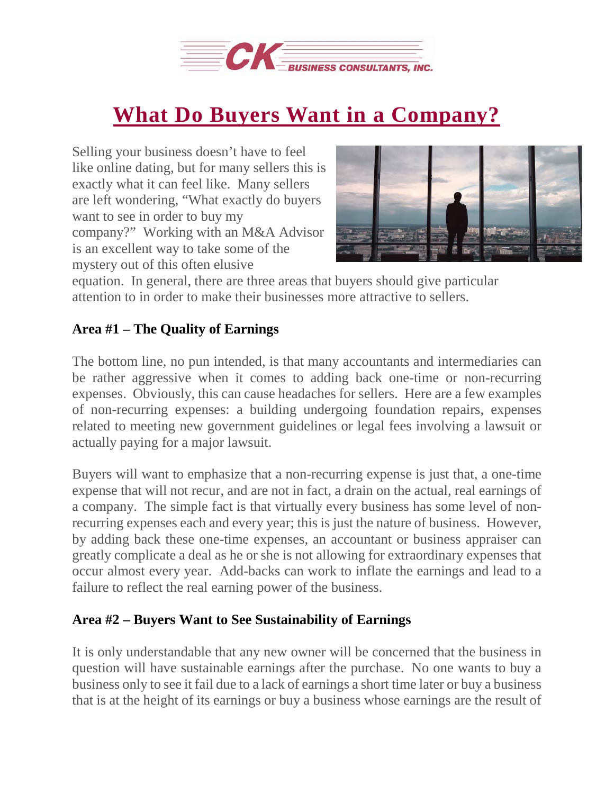

## **What Do Buyers Want in a [Company?](https://deal-studio.com/buyers-want-company/)**

Selling your business doesn't have to feel like online dating, but for many sellers this is exactly what it can feel like. Many sellers are left wondering, "What exactly do buyers want to see in order to buy my company?" Working with an M&A Advisor is an excellent way to take some of the mystery out of this often elusive



equation. In general, there are three areas that buyers should give particular attention to in order to make their businesses more attractive to sellers.

## **Area #1 – The Quality of Earnings**

The bottom line, no pun intended, is that many accountants and intermediaries can be rather aggressive when it comes to adding back one-time or non-recurring expenses. Obviously, this can cause headaches for sellers. Here are a few examples of non-recurring expenses: a building undergoing foundation repairs, expenses related to meeting new government guidelines or legal fees involving a lawsuit or actually paying for a major lawsuit.

Buyers will want to emphasize that a non-recurring expense is just that, a one-time expense that will not recur, and are not in fact, a drain on the actual, real earnings of a company. The simple fact is that virtually every business has some level of nonrecurring expenses each and every year; this is just the nature of business. However, by adding back these one-time expenses, an accountant or business appraiser can greatly complicate a deal as he or she is not allowing for extraordinary expenses that occur almost every year. Add-backs can work to inflate the earnings and lead to a failure to reflect the real earning power of the business.

## **Area #2 – Buyers Want to See Sustainability of Earnings**

It is only understandable that any new owner will be concerned that the business in question will have sustainable earnings after the purchase. No one wants to buy a business only to see it fail due to a lack of earnings a short time later or buy a business that is at the height of its earnings or buy a business whose earnings are the result of